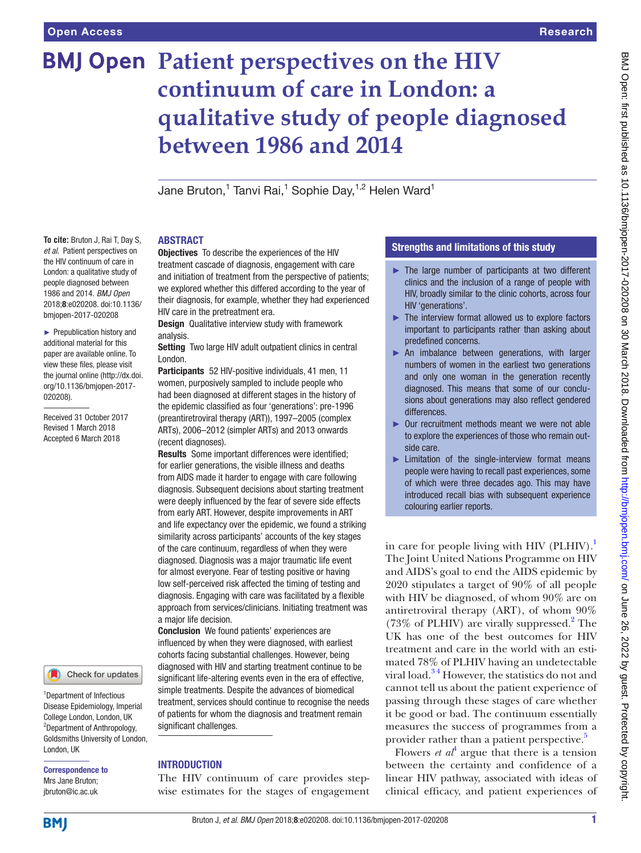**To cite:** Bruton J, Rai T, Day S, *et al*. Patient perspectives on the HIV continuum of care in London: a qualitative study of people diagnosed between 1986 and 2014. *BMJ Open* 2018;8:e020208. doi:10.1136/ bmjopen-2017-020208 ► Prepublication history and additional material for this paper are available online. To view these files, please visit the journal online [\(http://dx.doi.](http://dx.doi.org/10.1136/bmjopen-2017-020208) [org/10.1136/bmjopen-2017-](http://dx.doi.org/10.1136/bmjopen-2017-020208)

[020208\)](http://dx.doi.org/10.1136/bmjopen-2017-020208).

Received 31 October 2017 Revised 1 March 2018 Accepted 6 March 2018

# **BMJ Open Patient perspectives on the HIV continuum of care in London: a qualitative study of people diagnosed between 1986 and 2014**

Jane Bruton,<sup>1</sup> Tanvi Rai,<sup>1</sup> Sophie Day,<sup>1,2</sup> Helen Ward<sup>1</sup>

#### **ABSTRACT**

Objectives To describe the experiences of the HIV treatment cascade of diagnosis, engagement with care and initiation of treatment from the perspective of patients; we explored whether this differed according to the year of their diagnosis, for example, whether they had experienced HIV care in the pretreatment era.

Design Qualitative interview study with framework analysis.

Setting Two large HIV adult outpatient clinics in central London.

Participants 52 HIV-positive individuals, 41 men, 11 women, purposively sampled to include people who had been diagnosed at different stages in the history of the epidemic classified as four 'generations': pre-1996 (preantiretroviral therapy (ART)), 1997–2005 (complex ARTs), 2006–2012 (simpler ARTs) and 2013 onwards (recent diagnoses).

Results Some important differences were identified; for earlier generations, the visible illness and deaths from AIDS made it harder to engage with care following diagnosis. Subsequent decisions about starting treatment were deeply influenced by the fear of severe side effects from early ART. However, despite improvements in ART and life expectancy over the epidemic, we found a striking similarity across participants' accounts of the key stages of the care continuum, regardless of when they were diagnosed. Diagnosis was a major traumatic life event for almost everyone. Fear of testing positive or having low self-perceived risk affected the timing of testing and diagnosis. Engaging with care was facilitated by a flexible approach from services/clinicians. Initiating treatment was a major life decision.

Conclusion We found patients' experiences are influenced by when they were diagnosed, with earliest cohorts facing substantial challenges. However, being diagnosed with HIV and starting treatment continue to be significant life-altering events even in the era of effective, simple treatments. Despite the advances of biomedical treatment, services should continue to recognise the needs of patients for whom the diagnosis and treatment remain significant challenges.

## **INTRODUCTION**

The HIV continuum of care provides stepwise estimates for the stages of engagement

# Strengths and limitations of this study

- ► The large number of participants at two different clinics and the inclusion of a range of people with HIV, broadly similar to the clinic cohorts, across four HIV 'generations'.
- $\blacktriangleright$  The interview format allowed us to explore factors important to participants rather than asking about predefined concerns.
- ► An imbalance between generations, with larger numbers of women in the earliest two generations and only one woman in the generation recently diagnosed. This means that some of our conclusions about generations may also reflect gendered differences.
- ► Our recruitment methods meant we were not able to explore the experiences of those who remain outside care.
- ► Limitation of the single-interview format means people were having to recall past experiences, some of which were three decades ago. This may have introduced recall bias with subsequent experience colouring earlier reports.

in care for people living with HIV  $(PLHIV).<sup>1</sup>$ The Joint United Nations Programme on HIV and AIDS's goal to end the AIDS epidemic by 2020 stipulates a target of 90% of all people with HIV be diagnosed, of whom 90% are on antiretroviral therapy (ART), of whom 90% (73% of PLHIV) are virally suppressed.<sup>[2](#page-5-1)</sup> The UK has one of the best outcomes for HIV treatment and care in the world with an estimated 78% of PLHIV having an undetectable viral load.[3 4](#page-5-2) However, the statistics do not and cannot tell us about the patient experience of passing through these stages of care whether it be good or bad. The continuum essentially measures the success of programmes from a provider rather than a patient perspective.<sup>[5](#page-5-3)</sup>

Flowers *et*  $a t^4$  $a t^4$  argue that there is a tension between the certainty and confidence of a linear HIV pathway, associated with ideas of clinical efficacy, and patient experiences of

College London, London, UK 2 Department of Anthropology,

London, UK

1 Department of Infectious Disease Epidemiology, Imperial

Goldsmiths University of London,

Check for updates

Correspondence to Mrs Jane Bruton; jbruton@ic.ac.uk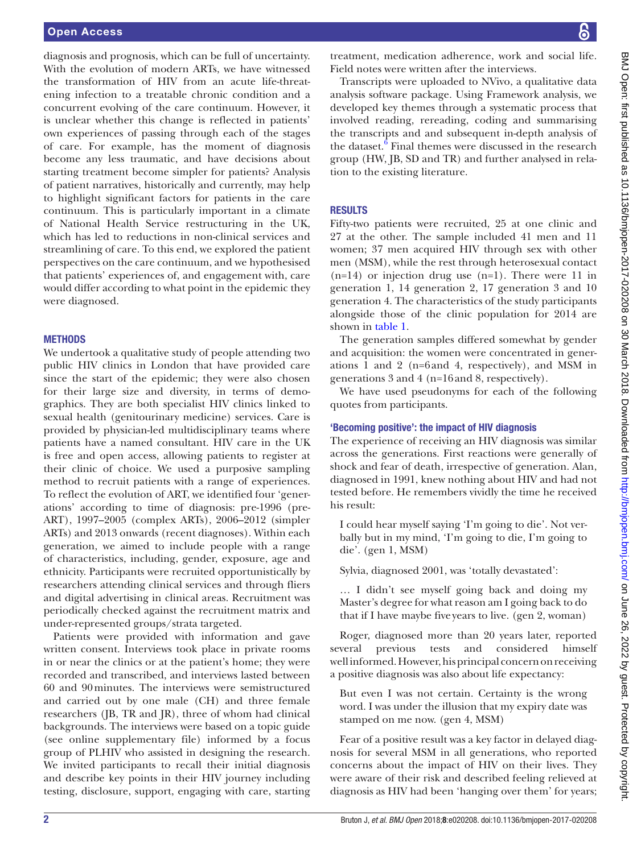diagnosis and prognosis, which can be full of uncertainty. With the evolution of modern ARTs, we have witnessed the transformation of HIV from an acute life-threatening infection to a treatable chronic condition and a concurrent evolving of the care continuum. However, it is unclear whether this change is reflected in patients' own experiences of passing through each of the stages of care. For example, has the moment of diagnosis become any less traumatic, and have decisions about starting treatment become simpler for patients? Analysis of patient narratives, historically and currently, may help to highlight significant factors for patients in the care continuum. This is particularly important in a climate of National Health Service restructuring in the UK, which has led to reductions in non-clinical services and streamlining of care. To this end, we explored the patient perspectives on the care continuum, and we hypothesised that patients' experiences of, and engagement with, care would differ according to what point in the epidemic they were diagnosed.

# **METHODS**

We undertook a qualitative study of people attending two public HIV clinics in London that have provided care since the start of the epidemic; they were also chosen for their large size and diversity, in terms of demographics. They are both specialist HIV clinics linked to sexual health (genitourinary medicine) services. Care is provided by physician-led multidisciplinary teams where patients have a named consultant. HIV care in the UK is free and open access, allowing patients to register at their clinic of choice. We used a purposive sampling method to recruit patients with a range of experiences. To reflect the evolution of ART, we identified four 'generations' according to time of diagnosis: pre-1996 (pre-ART), 1997–2005 (complex ARTs), 2006–2012 (simpler ARTs) and 2013 onwards (recent diagnoses). Within each generation, we aimed to include people with a range of characteristics, including, gender, exposure, age and ethnicity. Participants were recruited opportunistically by researchers attending clinical services and through fliers and digital advertising in clinical areas. Recruitment was periodically checked against the recruitment matrix and under-represented groups/strata targeted.

Patients were provided with information and gave written consent. Interviews took place in private rooms in or near the clinics or at the patient's home; they were recorded and transcribed, and interviews lasted between 60 and 90minutes. The interviews were semistructured and carried out by one male (CH) and three female researchers (JB, TR and JR), three of whom had clinical backgrounds. The interviews were based on a topic guide (see online [supplementary file\)](https://dx.doi.org/10.1136/bmjopen-2017-020208) informed by a focus group of PLHIV who assisted in designing the research. We invited participants to recall their initial diagnosis and describe key points in their HIV journey including testing, disclosure, support, engaging with care, starting

treatment, medication adherence, work and social life. Field notes were written after the interviews.

Transcripts were uploaded to NVivo, a qualitative data analysis software package. Using Framework analysis, we developed key themes through a systematic process that involved reading, rereading, coding and summarising the transcripts and and subsequent in-depth analysis of the dataset.<sup>[6](#page-6-0)</sup> Final themes were discussed in the research group (HW, JB, SD and TR) and further analysed in relation to the existing literature.

# **RESULTS**

Fifty-two patients were recruited, 25 at one clinic and 27 at the other. The sample included 41 men and 11 women; 37 men acquired HIV through sex with other men (MSM), while the rest through heterosexual contact  $(n=14)$  or injection drug use  $(n=1)$ . There were 11 in generation 1, 14 generation 2, 17 generation 3 and 10 generation 4. The characteristics of the study participants alongside those of the clinic population for 2014 are shown in [table](#page-2-0) 1.

The generation samples differed somewhat by gender and acquisition: the women were concentrated in generations 1 and 2 (n=6and 4, respectively), and MSM in generations 3 and 4 (n=16and 8, respectively).

We have used pseudonyms for each of the following quotes from participants.

# 'Becoming positive': the impact of HIV diagnosis

The experience of receiving an HIV diagnosis was similar across the generations. First reactions were generally of shock and fear of death, irrespective of generation. Alan, diagnosed in 1991, knew nothing about HIV and had not tested before. He remembers vividly the time he received his result:

I could hear myself saying 'I'm going to die'. Not verbally but in my mind, 'I'm going to die, I'm going to die'. (gen 1, MSM)

Sylvia, diagnosed 2001, was 'totally devastated':

… I didn't see myself going back and doing my Master's degree for what reason am I going back to do that if I have maybe fiveyears to live. (gen 2, woman)

Roger, diagnosed more than 20 years later, reported several previous tests and considered himself wellinformed. However, his principal concern on receiving a positive diagnosis was also about life expectancy:

But even I was not certain. Certainty is the wrong word. I was under the illusion that my expiry date was stamped on me now. (gen 4, MSM)

Fear of a positive result was a key factor in delayed diagnosis for several MSM in all generations, who reported concerns about the impact of HIV on their lives. They were aware of their risk and described feeling relieved at diagnosis as HIV had been 'hanging over them' for years;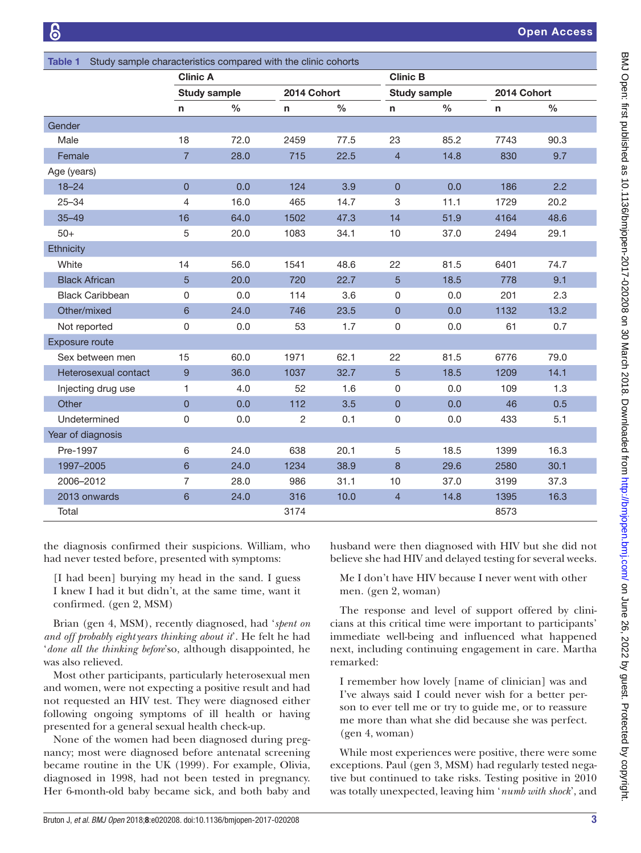<span id="page-2-0"></span>

| Study sample characteristics compared with the clinic cohorts<br><b>Table 1</b> |                  |                     |                |               |                  |                     |              |               |  |
|---------------------------------------------------------------------------------|------------------|---------------------|----------------|---------------|------------------|---------------------|--------------|---------------|--|
|                                                                                 |                  | <b>Clinic A</b>     |                |               |                  | <b>Clinic B</b>     |              |               |  |
|                                                                                 |                  | <b>Study sample</b> |                | 2014 Cohort   |                  | <b>Study sample</b> |              | 2014 Cohort   |  |
|                                                                                 | n                | $\frac{0}{0}$       | $\mathsf{n}$   | $\frac{0}{0}$ | n                | $\frac{6}{6}$       | $\mathsf{n}$ | $\frac{0}{0}$ |  |
| Gender                                                                          |                  |                     |                |               |                  |                     |              |               |  |
| Male                                                                            | 18               | 72.0                | 2459           | 77.5          | 23               | 85.2                | 7743         | 90.3          |  |
| Female                                                                          | $\overline{7}$   | 28.0                | 715            | 22.5          | $\overline{4}$   | 14.8                | 830          | 9.7           |  |
| Age (years)                                                                     |                  |                     |                |               |                  |                     |              |               |  |
| $18 - 24$                                                                       | $\overline{0}$   | 0.0                 | 124            | 3.9           | $\mathbf 0$      | 0.0                 | 186          | 2.2           |  |
| $25 - 34$                                                                       | 4                | 16.0                | 465            | 14.7          | 3                | 11.1                | 1729         | 20.2          |  |
| $35 - 49$                                                                       | 16               | 64.0                | 1502           | 47.3          | 14               | 51.9                | 4164         | 48.6          |  |
| $50+$                                                                           | 5                | 20.0                | 1083           | 34.1          | 10               | 37.0                | 2494         | 29.1          |  |
| Ethnicity                                                                       |                  |                     |                |               |                  |                     |              |               |  |
| White                                                                           | 14               | 56.0                | 1541           | 48.6          | 22               | 81.5                | 6401         | 74.7          |  |
| <b>Black African</b>                                                            | 5                | 20.0                | 720            | 22.7          | $\overline{5}$   | 18.5                | 778          | 9.1           |  |
| <b>Black Caribbean</b>                                                          | 0                | 0.0                 | 114            | 3.6           | 0                | 0.0                 | 201          | 2.3           |  |
| Other/mixed                                                                     | $6\phantom{1}$   | 24.0                | 746            | 23.5          | $\mathsf 0$      | 0.0                 | 1132         | 13.2          |  |
| Not reported                                                                    | 0                | 0.0                 | 53             | 1.7           | 0                | 0.0                 | 61           | 0.7           |  |
| Exposure route                                                                  |                  |                     |                |               |                  |                     |              |               |  |
| Sex between men                                                                 | 15               | 60.0                | 1971           | 62.1          | 22               | 81.5                | 6776         | 79.0          |  |
| Heterosexual contact                                                            | $\boldsymbol{9}$ | 36.0                | 1037           | 32.7          | 5                | 18.5                | 1209         | 14.1          |  |
| Injecting drug use                                                              | 1                | 4.0                 | 52             | 1.6           | 0                | 0.0                 | 109          | 1.3           |  |
| Other                                                                           | $\overline{0}$   | 0.0                 | 112            | 3.5           | $\pmb{0}$        | 0.0                 | 46           | 0.5           |  |
| Undetermined                                                                    | 0                | 0.0                 | $\overline{2}$ | 0.1           | 0                | 0.0                 | 433          | 5.1           |  |
| Year of diagnosis                                                               |                  |                     |                |               |                  |                     |              |               |  |
| Pre-1997                                                                        | 6                | 24.0                | 638            | 20.1          | 5                | 18.5                | 1399         | 16.3          |  |
| 1997-2005                                                                       | 6                | 24.0                | 1234           | 38.9          | $\boldsymbol{8}$ | 29.6                | 2580         | 30.1          |  |
| 2006-2012                                                                       | 7                | 28.0                | 986            | 31.1          | 10               | 37.0                | 3199         | 37.3          |  |
| 2013 onwards                                                                    | $6\phantom{1}$   | 24.0                | 316            | 10.0          | $\overline{4}$   | 14.8                | 1395         | 16.3          |  |
| Total                                                                           |                  |                     | 3174           |               |                  |                     | 8573         |               |  |

the diagnosis confirmed their suspicions. William, who had never tested before, presented with symptoms:

[I had been] burying my head in the sand. I guess I knew I had it but didn't, at the same time, want it confirmed. (gen 2, MSM)

Brian (gen 4, MSM), recently diagnosed, had '*spent on and off probably eightyears thinking about it*'. He felt he had '*done all the thinking before*'so, although disappointed, he was also relieved.

Most other participants, particularly heterosexual men and women, were not expecting a positive result and had not requested an HIV test. They were diagnosed either following ongoing symptoms of ill health or having presented for a general sexual health check-up.

None of the women had been diagnosed during pregnancy; most were diagnosed before antenatal screening became routine in the UK (1999). For example, Olivia, diagnosed in 1998, had not been tested in pregnancy. Her 6-month-old baby became sick, and both baby and

husband were then diagnosed with HIV but she did not believe she had HIV and delayed testing for several weeks.

Me I don't have HIV because I never went with other men. (gen 2, woman)

The response and level of support offered by clinicians at this critical time were important to participants' immediate well-being and influenced what happened next, including continuing engagement in care. Martha remarked:

I remember how lovely [name of clinician] was and I've always said I could never wish for a better person to ever tell me or try to guide me, or to reassure me more than what she did because she was perfect. (gen 4, woman)

While most experiences were positive, there were some exceptions. Paul (gen 3, MSM) had regularly tested negative but continued to take risks. Testing positive in 2010 was totally unexpected, leaving him '*numb with shock*', and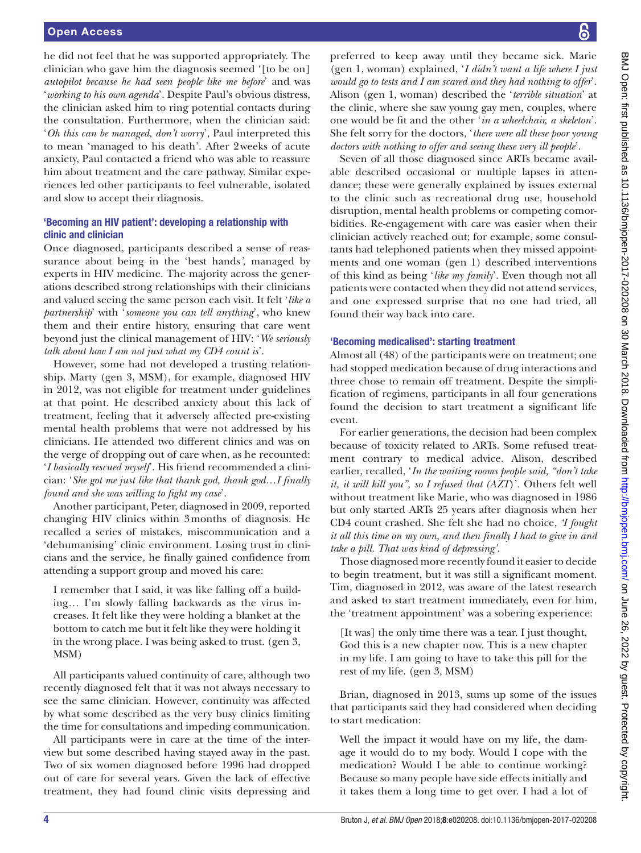he did not feel that he was supported appropriately. The clinician who gave him the diagnosis seemed '[to be on] *autopilot because he had seen people like me before*' and was '*working to his own agenda*'. Despite Paul's obvious distress, the clinician asked him to ring potential contacts during the consultation. Furthermore, when the clinician said: '*Oh this can be managed, don't worry*', Paul interpreted this to mean 'managed to his death'. After 2weeks of acute anxiety, Paul contacted a friend who was able to reassure him about treatment and the care pathway. Similar experiences led other participants to feel vulnerable, isolated and slow to accept their diagnosis.

### 'Becoming an HIV patient': developing a relationship with clinic and clinician

Once diagnosed, participants described a sense of reassurance about being in the 'best hands*',* managed by experts in HIV medicine. The majority across the generations described strong relationships with their clinicians and valued seeing the same person each visit. It felt '*like a partnership*' with '*someone you can tell anything*', who knew them and their entire history, ensuring that care went beyond just the clinical management of HIV: '*We seriously talk about how I am not just what my CD4 count is*'.

However, some had not developed a trusting relationship. Marty (gen 3, MSM), for example, diagnosed HIV in 2012, was not eligible for treatment under guidelines at that point. He described anxiety about this lack of treatment, feeling that it adversely affected pre-existing mental health problems that were not addressed by his clinicians. He attended two different clinics and was on the verge of dropping out of care when, as he recounted: '*I basically rescued myself*'. His friend recommended a clinician: '*She got me just like that thank god, thank god…I finally found and she was willing to fight my case*'.

Another participant, Peter, diagnosed in 2009, reported changing HIV clinics within 3months of diagnosis. He recalled a series of mistakes, miscommunication and a 'dehumanising' clinic environment. Losing trust in clinicians and the service, he finally gained confidence from attending a support group and moved his care:

I remember that I said, it was like falling off a building… I'm slowly falling backwards as the virus increases. It felt like they were holding a blanket at the bottom to catch me but it felt like they were holding it in the wrong place. I was being asked to trust. (gen 3, MSM)

All participants valued continuity of care, although two recently diagnosed felt that it was not always necessary to see the same clinician. However, continuity was affected by what some described as the very busy clinics limiting the time for consultations and impeding communication.

All participants were in care at the time of the interview but some described having stayed away in the past. Two of six women diagnosed before 1996 had dropped out of care for several years. Given the lack of effective treatment, they had found clinic visits depressing and preferred to keep away until they became sick. Marie (gen 1, woman) explained, '*I didn't want a life where I just would go to tests and I am scared and they had nothing to offer*'. Alison (gen 1, woman) described the '*terrible situation*' at the clinic, where she saw young gay men, couples, where one would be fit and the other '*in a wheelchair, a skeleton*'. She felt sorry for the doctors, '*there were all these poor young doctors with nothing to offer and seeing these very ill people*'.

Seven of all those diagnosed since ARTs became available described occasional or multiple lapses in attendance; these were generally explained by issues external to the clinic such as recreational drug use, household disruption, mental health problems or competing comorbidities. Re-engagement with care was easier when their clinician actively reached out; for example, some consultants had telephoned patients when they missed appointments and one woman (gen 1) described interventions of this kind as being '*like my family*'. Even though not all patients were contacted when they did not attend services, and one expressed surprise that no one had tried, all found their way back into care.

#### 'Becoming medicalised': starting treatment

Almost all (48) of the participants were on treatment; one had stopped medication because of drug interactions and three chose to remain off treatment. Despite the simplification of regimens, participants in all four generations found the decision to start treatment a significant life event.

For earlier generations, the decision had been complex because of toxicity related to ARTs. Some refused treatment contrary to medical advice. Alison, described earlier, recalled, '*In the waiting rooms people said, "don't take it, it will kill you", so I refused that (AZT*)'. Others felt well without treatment like Marie, who was diagnosed in 1986 but only started ARTs 25 years after diagnosis when her CD4 count crashed. She felt she had no choice, *'I fought it all this time on my own, and then finally I had to give in and take a pill. That was kind of depressing'.*

Those diagnosed more recently found it easier to decide to begin treatment, but it was still a significant moment. Tim, diagnosed in 2012, was aware of the latest research and asked to start treatment immediately, even for him, the 'treatment appointment' was a sobering experience:

[It was] the only time there was a tear. I just thought, God this is a new chapter now. This is a new chapter in my life. I am going to have to take this pill for the rest of my life. (gen 3, MSM)

Brian, diagnosed in 2013, sums up some of the issues that participants said they had considered when deciding to start medication:

Well the impact it would have on my life, the damage it would do to my body. Would I cope with the medication? Would I be able to continue working? Because so many people have side effects initially and it takes them a long time to get over. I had a lot of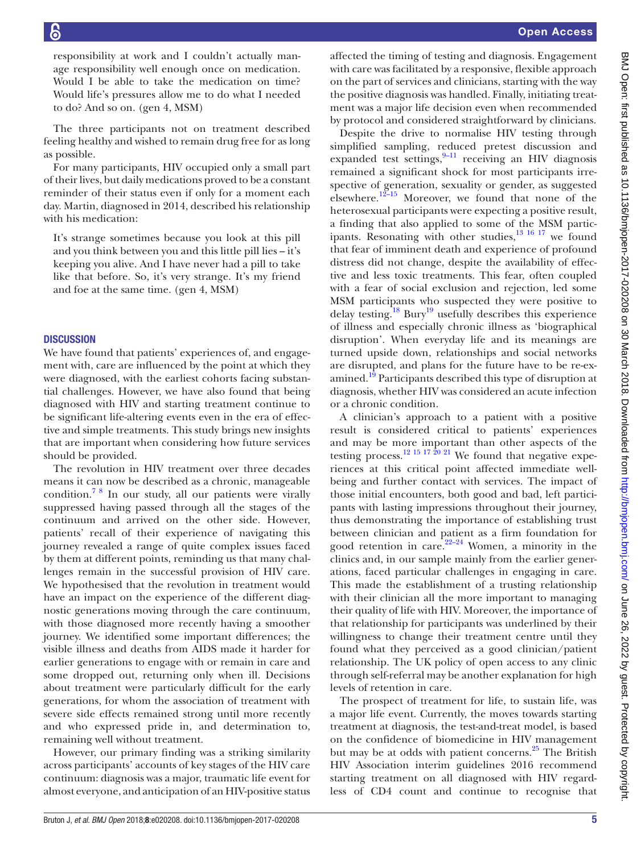responsibility at work and I couldn't actually manage responsibility well enough once on medication. Would I be able to take the medication on time? Would life's pressures allow me to do what I needed to do? And so on. (gen 4, MSM)

The three participants not on treatment described feeling healthy and wished to remain drug free for as long as possible.

For many participants, HIV occupied only a small part of their lives, but daily medications proved to be a constant reminder of their status even if only for a moment each day. Martin, diagnosed in 2014, described his relationship with his medication:

It's strange sometimes because you look at this pill and you think between you and this little pill lies – it's keeping you alive. And I have never had a pill to take like that before. So, it's very strange. It's my friend and foe at the same time. (gen 4, MSM)

#### **DISCUSSION**

We have found that patients' experiences of, and engagement with, care are influenced by the point at which they were diagnosed, with the earliest cohorts facing substantial challenges. However, we have also found that being diagnosed with HIV and starting treatment continue to be significant life-altering events even in the era of effective and simple treatments. This study brings new insights that are important when considering how future services should be provided.

The revolution in HIV treatment over three decades means it can now be described as a chronic, manageable condition[.7 8](#page-6-1) In our study, all our patients were virally suppressed having passed through all the stages of the continuum and arrived on the other side. However, patients' recall of their experience of navigating this journey revealed a range of quite complex issues faced by them at different points, reminding us that many challenges remain in the successful provision of HIV care. We hypothesised that the revolution in treatment would have an impact on the experience of the different diagnostic generations moving through the care continuum, with those diagnosed more recently having a smoother journey. We identified some important differences; the visible illness and deaths from AIDS made it harder for earlier generations to engage with or remain in care and some dropped out, returning only when ill. Decisions about treatment were particularly difficult for the early generations, for whom the association of treatment with severe side effects remained strong until more recently and who expressed pride in, and determination to, remaining well without treatment.

However, our primary finding was a striking similarity across participants' accounts of key stages of the HIV care continuum: diagnosis was a major, traumatic life event for almost everyone, and anticipation of an HIV-positive status

affected the timing of testing and diagnosis. Engagement with care was facilitated by a responsive, flexible approach on the part of services and clinicians, starting with the way the positive diagnosis was handled. Finally, initiating treatment was a major life decision even when recommended by protocol and considered straightforward by clinicians.

Despite the drive to normalise HIV testing through simplified sampling, reduced pretest discussion and expanded test settings, $9-11$  receiving an HIV diagnosis remained a significant shock for most participants irrespective of generation, sexuality or gender, as suggested elsewhere.<sup>[12–15](#page-6-3)</sup> Moreover, we found that none of the heterosexual participants were expecting a positive result, a finding that also applied to some of the MSM participants. Resonating with other studies,<sup>13 16 17</sup> we found that fear of imminent death and experience of profound distress did not change, despite the availability of effective and less toxic treatments. This fear, often coupled with a fear of social exclusion and rejection, led some MSM participants who suspected they were positive to delay testing.<sup>[18](#page-6-5)</sup> Bury<sup>19</sup> usefully describes this experience of illness and especially chronic illness as 'biographical disruption'. When everyday life and its meanings are turned upside down, relationships and social networks are disrupted, and plans for the future have to be re-ex-amined.<sup>[19](#page-6-6)</sup> Participants described this type of disruption at diagnosis, whether HIV was considered an acute infection or a chronic condition.

A clinician's approach to a patient with a positive result is considered critical to patients' experiences and may be more important than other aspects of the testing process.<sup>[12 15 17 20 21](#page-6-3)</sup> We found that negative experiences at this critical point affected immediate wellbeing and further contact with services. The impact of those initial encounters, both good and bad, left participants with lasting impressions throughout their journey, thus demonstrating the importance of establishing trust between clinician and patient as a firm foundation for good retention in care.<sup>22–24</sup> Women, a minority in the clinics and, in our sample mainly from the earlier generations, faced particular challenges in engaging in care. This made the establishment of a trusting relationship with their clinician all the more important to managing their quality of life with HIV. Moreover, the importance of that relationship for participants was underlined by their willingness to change their treatment centre until they found what they perceived as a good clinician/patient relationship. The UK policy of open access to any clinic through self-referral may be another explanation for high levels of retention in care.

The prospect of treatment for life, to sustain life, was a major life event. Currently, the moves towards starting treatment at diagnosis, the test-and-treat model, is based on the confidence of biomedicine in HIV management but may be at odds with patient concerns.<sup>[25](#page-6-8)</sup> The British HIV Association interim guidelines 2016 recommend starting treatment on all diagnosed with HIV regardless of CD4 count and continue to recognise that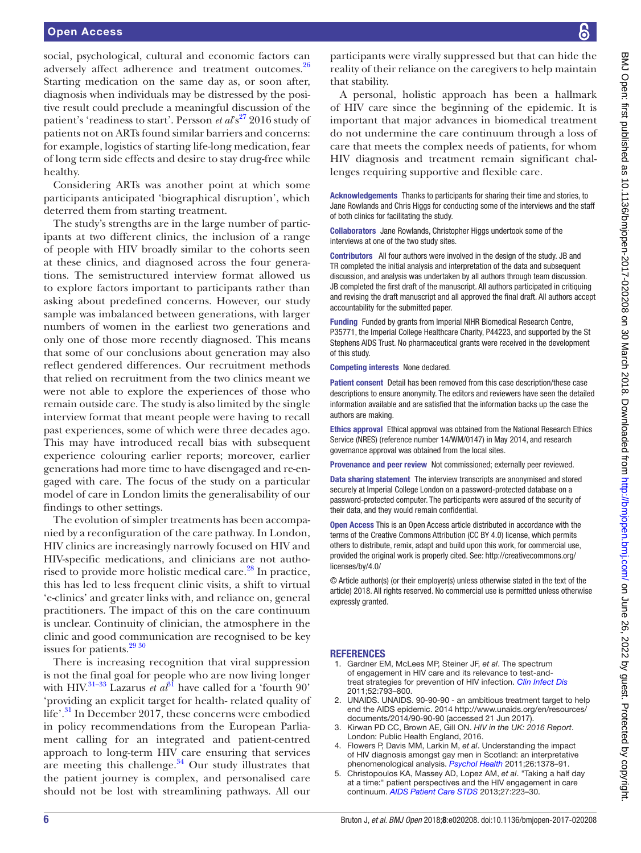social, psychological, cultural and economic factors can adversely affect adherence and treatment outcomes.<sup>26</sup> Starting medication on the same day as, or soon after, diagnosis when individuals may be distressed by the positive result could preclude a meaningful discussion of the patient's 'readiness to start'. Persson *et*  $a\ell s^{27}$  $a\ell s^{27}$  $a\ell s^{27}$  2016 study of patients not on ARTs found similar barriers and concerns: for example, logistics of starting life-long medication, fear of long term side effects and desire to stay drug-free while healthy.

Considering ARTs was another point at which some participants anticipated 'biographical disruption', which deterred them from starting treatment.

The study's strengths are in the large number of participants at two different clinics, the inclusion of a range of people with HIV broadly similar to the cohorts seen at these clinics, and diagnosed across the four generations. The semistructured interview format allowed us to explore factors important to participants rather than asking about predefined concerns. However, our study sample was imbalanced between generations, with larger numbers of women in the earliest two generations and only one of those more recently diagnosed. This means that some of our conclusions about generation may also reflect gendered differences. Our recruitment methods that relied on recruitment from the two clinics meant we were not able to explore the experiences of those who remain outside care. The study is also limited by the single interview format that meant people were having to recall past experiences, some of which were three decades ago. This may have introduced recall bias with subsequent experience colouring earlier reports; moreover, earlier generations had more time to have disengaged and re-engaged with care. The focus of the study on a particular model of care in London limits the generalisability of our findings to other settings.

The evolution of simpler treatments has been accompanied by a reconfiguration of the care pathway. In London, HIV clinics are increasingly narrowly focused on HIV and HIV-specific medications, and clinicians are not authorised to provide more holistic medical care.<sup>28</sup> In practice, this has led to less frequent clinic visits, a shift to virtual 'e-clinics' and greater links with, and reliance on, general practitioners. The impact of this on the care continuum is unclear. Continuity of clinician, the atmosphere in the clinic and good communication are recognised to be key issues for patients. $2930$ 

There is increasing recognition that viral suppression is not the final goal for people who are now living longer with HIV.<sup>[31–33](#page-6-13)</sup> Lazarus *et al*<sup>[31](#page-6-13)</sup> have called for a 'fourth 90' 'providing an explicit target for health- related quality of life'.<sup>31</sup> In December 2017, these concerns were embodied in policy recommendations from the European Parliament calling for an integrated and patient-centred approach to long-term HIV care ensuring that services are meeting this challenge. $34$  Our study illustrates that the patient journey is complex, and personalised care should not be lost with streamlining pathways. All our

BMJ Open: first published as 10.1136/bmijopen-2017-020208 on 30 March 2018. Downloaded from http://bmjopen.bmj.com/ on June 26, 2022 by guest. Protected by copyright BMJ Open: first published as 10.1136/bmjopen-2017-020208 on 30 March 2018. Downloaded from Downloaded from pop

participants were virally suppressed but that can hide the reality of their reliance on the caregivers to help maintain that stability.

A personal, holistic approach has been a hallmark of HIV care since the beginning of the epidemic. It is important that major advances in biomedical treatment do not undermine the care continuum through a loss of care that meets the complex needs of patients, for whom HIV diagnosis and treatment remain significant challenges requiring supportive and flexible care.

Acknowledgements Thanks to participants for sharing their time and stories, to Jane Rowlands and Chris Higgs for conducting some of the interviews and the staff of both clinics for facilitating the study.

Collaborators Jane Rowlands, Christopher Higgs undertook some of the interviews at one of the two study sites.

Contributors All four authors were involved in the design of the study. JB and TR completed the initial analysis and interpretation of the data and subsequent discussion, and analysis was undertaken by all authors through team discussion. JB completed the first draft of the manuscript. All authors participated in critiquing and revising the draft manuscript and all approved the final draft. All authors accept accountability for the submitted paper.

Funding Funded by grants from Imperial NIHR Biomedical Research Centre, P35771, the Imperial College Healthcare Charity, P44223, and supported by the St Stephens AIDS Trust. No pharmaceutical grants were received in the development of this study.

Competing interests None declared.

Patient consent Detail has been removed from this case description/these case descriptions to ensure anonymity. The editors and reviewers have seen the detailed information available and are satisfied that the information backs up the case the authors are making.

Ethics approval Ethical approval was obtained from the National Research Ethics Service (NRES) (reference number 14/WM/0147) in May 2014, and research governance approval was obtained from the local sites.

Provenance and peer review Not commissioned; externally peer reviewed.

Data sharing statement The interview transcripts are anonymised and stored securely at Imperial College London on a password-protected database on a password-protected computer. The participants were assured of the security of their data, and they would remain confidential.

Open Access This is an Open Access article distributed in accordance with the terms of the Creative Commons Attribution (CC BY 4.0) license, which permits others to distribute, remix, adapt and build upon this work, for commercial use, provided the original work is properly cited. See: [http://creativecommons.org/](http://creativecommons.org/licenses/by/4.0/) [licenses/by/4.0/](http://creativecommons.org/licenses/by/4.0/)

© Article author(s) (or their employer(s) unless otherwise stated in the text of the article) 2018. All rights reserved. No commercial use is permitted unless otherwise expressly granted.

#### **REFERENCES**

- <span id="page-5-0"></span>1. Gardner EM, McLees MP, Steiner JF, *et al*. The spectrum of engagement in HIV care and its relevance to test-andtreat strategies for prevention of HIV infection. *[Clin Infect Dis](http://dx.doi.org/10.1093/cid/ciq243)* 2011;52:793–800.
- <span id="page-5-1"></span>2. UNAIDS. UNAIDS. 90-90-90 - an ambitious treatment target to help end the AIDS epidemic. 2014 [http://www.unaids.org/en/resources/](http://www.unaids.org/en/resources/documents/2014/90-90-90) [documents/2014/90-90-90](http://www.unaids.org/en/resources/documents/2014/90-90-90) (accessed 21 Jun 2017).
- <span id="page-5-2"></span>3. Kirwan PD CC, Brown AE, Gill ON. *HIV in the UK: 2016 Report*. London: Public Health England, 2016.
- <span id="page-5-4"></span>4. Flowers P, Davis MM, Larkin M, *et al*. Understanding the impact of HIV diagnosis amongst gay men in Scotland: an interpretative phenomenological analysis. *[Psychol Health](http://dx.doi.org/10.1080/08870446.2010.551213)* 2011;26:1378–91.
- <span id="page-5-3"></span>5. Christopoulos KA, Massey AD, Lopez AM, *et al*. "Taking a half day at a time:" patient perspectives and the HIV engagement in care continuum. *[AIDS Patient Care STDS](http://dx.doi.org/10.1089/apc.2012.0418)* 2013;27:223–30.